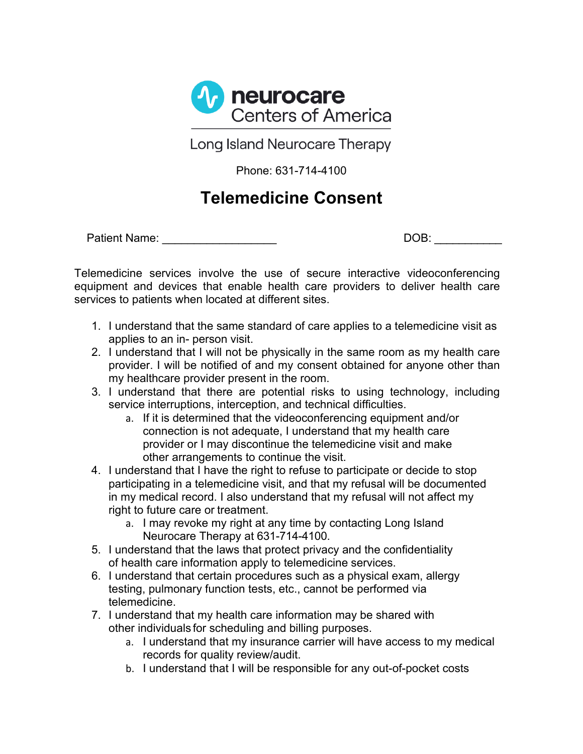

Long Island Neurocare Therapy

Phone: 631-714-4100

## **Telemedicine Consent**

Patient Name: \_\_\_\_\_\_\_\_\_\_\_\_\_\_\_\_\_\_ DOB: \_\_\_\_\_\_\_\_\_\_\_

Telemedicine services involve the use of secure interactive videoconferencing equipment and devices that enable health care providers to deliver health care services to patients when located at different sites.

- 1. I understand that the same standard of care applies to a telemedicine visit as applies to an in- person visit.
- 2. I understand that I will not be physically in the same room as my health care provider. I will be notified of and my consent obtained for anyone other than my healthcare provider present in the room.
- 3. I understand that there are potential risks to using technology, including service interruptions, interception, and technical difficulties.
	- a. If it is determined that the videoconferencing equipment and/or connection is not adequate, I understand that my health care provider or I may discontinue the telemedicine visit and make other arrangements to continue the visit.
- 4. I understand that I have the right to refuse to participate or decide to stop participating in a telemedicine visit, and that my refusal will be documented in my medical record. I also understand that my refusal will not affect my right to future care or treatment.
	- a. I may revoke my right at any time by contacting Long Island Neurocare Therapy at 631-714-4100.
- 5. I understand that the laws that protect privacy and the confidentiality of health care information apply to telemedicine services.
- 6. I understand that certain procedures such as a physical exam, allergy testing, pulmonary function tests, etc., cannot be performed via telemedicine.
- 7. I understand that my health care information may be shared with other individuals for scheduling and billing purposes.
	- a. I understand that my insurance carrier will have access to my medical records for quality review/audit.
	- b. I understand that I will be responsible for any out-of-pocket costs